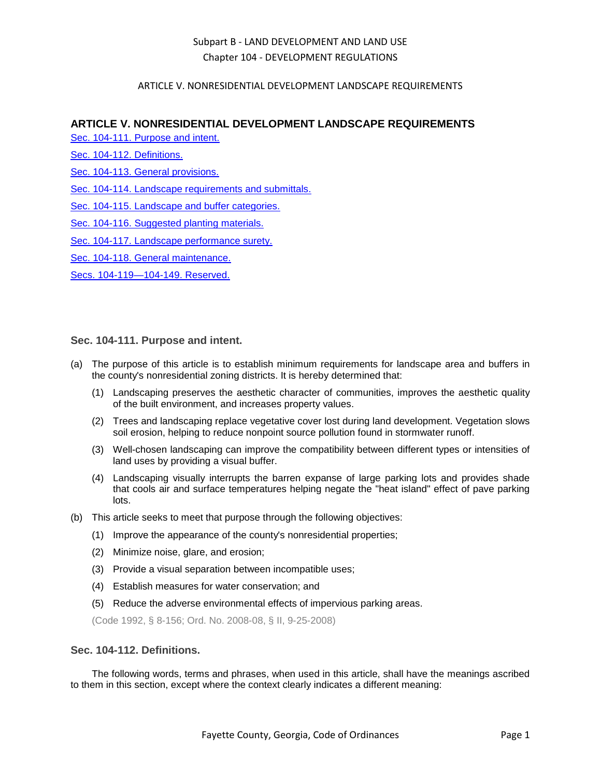### ARTICLE V. NONRESIDENTIAL DEVELOPMENT LANDSCAPE REQUIREMENTS

### **ARTICLE V. NONRESIDENTIAL DEVELOPMENT LANDSCAPE REQUIREMENTS**

[Sec. 104-111. Purpose and intent.](#page-0-0)

[Sec. 104-112. Definitions.](#page-0-1)

[Sec. 104-113. General provisions.](#page-1-0)

[Sec. 104-114. Landscape requirements and submittals.](#page-2-0)

[Sec. 104-115. Landscape and buffer categories.](#page-3-0)

[Sec. 104-116. Suggested planting materials.](#page-5-0)

[Sec. 104-117. Landscape performance surety.](#page-10-0)

[Sec. 104-118. General maintenance.](#page-10-1)

[Secs. 104-119—104-149. Reserved.](#page-10-2)

### <span id="page-0-0"></span>**Sec. 104-111. Purpose and intent.**

- (a) The purpose of this article is to establish minimum requirements for landscape area and buffers in the county's nonresidential zoning districts. It is hereby determined that:
	- (1) Landscaping preserves the aesthetic character of communities, improves the aesthetic quality of the built environment, and increases property values.
	- (2) Trees and landscaping replace vegetative cover lost during land development. Vegetation slows soil erosion, helping to reduce nonpoint source pollution found in stormwater runoff.
	- (3) Well-chosen landscaping can improve the compatibility between different types or intensities of land uses by providing a visual buffer.
	- (4) Landscaping visually interrupts the barren expanse of large parking lots and provides shade that cools air and surface temperatures helping negate the "heat island" effect of pave parking lots.
- (b) This article seeks to meet that purpose through the following objectives:
	- (1) Improve the appearance of the county's nonresidential properties;
	- (2) Minimize noise, glare, and erosion;
	- (3) Provide a visual separation between incompatible uses;
	- (4) Establish measures for water conservation; and
	- (5) Reduce the adverse environmental effects of impervious parking areas.

(Code 1992, § 8-156; Ord. No. 2008-08, § II, 9-25-2008)

#### <span id="page-0-1"></span>**Sec. 104-112. Definitions.**

The following words, terms and phrases, when used in this article, shall have the meanings ascribed to them in this section, except where the context clearly indicates a different meaning: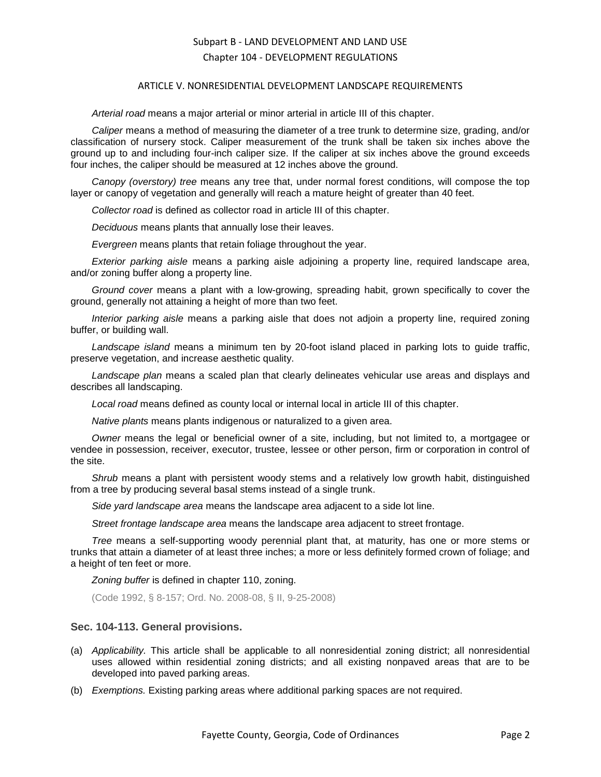#### ARTICLE V. NONRESIDENTIAL DEVELOPMENT LANDSCAPE REQUIREMENTS

*Arterial road* means a major arterial or minor arterial in article III of this chapter.

*Caliper* means a method of measuring the diameter of a tree trunk to determine size, grading, and/or classification of nursery stock. Caliper measurement of the trunk shall be taken six inches above the ground up to and including four-inch caliper size. If the caliper at six inches above the ground exceeds four inches, the caliper should be measured at 12 inches above the ground.

*Canopy (overstory) tree* means any tree that, under normal forest conditions, will compose the top layer or canopy of vegetation and generally will reach a mature height of greater than 40 feet.

*Collector road* is defined as collector road in article III of this chapter.

*Deciduous* means plants that annually lose their leaves.

*Evergreen* means plants that retain foliage throughout the year.

*Exterior parking aisle* means a parking aisle adjoining a property line, required landscape area, and/or zoning buffer along a property line.

*Ground cover* means a plant with a low-growing, spreading habit, grown specifically to cover the ground, generally not attaining a height of more than two feet.

*Interior parking aisle* means a parking aisle that does not adjoin a property line, required zoning buffer, or building wall.

*Landscape island* means a minimum ten by 20-foot island placed in parking lots to guide traffic, preserve vegetation, and increase aesthetic quality.

*Landscape plan* means a scaled plan that clearly delineates vehicular use areas and displays and describes all landscaping.

*Local road* means defined as county local or internal local in article III of this chapter.

*Native plants* means plants indigenous or naturalized to a given area.

*Owner* means the legal or beneficial owner of a site, including, but not limited to, a mortgagee or vendee in possession, receiver, executor, trustee, lessee or other person, firm or corporation in control of the site.

*Shrub* means a plant with persistent woody stems and a relatively low growth habit, distinguished from a tree by producing several basal stems instead of a single trunk.

*Side yard landscape area* means the landscape area adjacent to a side lot line.

*Street frontage landscape area* means the landscape area adjacent to street frontage.

*Tree* means a self-supporting woody perennial plant that, at maturity, has one or more stems or trunks that attain a diameter of at least three inches; a more or less definitely formed crown of foliage; and a height of ten feet or more.

*Zoning buffer* is defined in chapter 110, zoning.

(Code 1992, § 8-157; Ord. No. 2008-08, § II, 9-25-2008)

#### <span id="page-1-0"></span>**Sec. 104-113. General provisions.**

- (a) *Applicability.* This article shall be applicable to all nonresidential zoning district; all nonresidential uses allowed within residential zoning districts; and all existing nonpaved areas that are to be developed into paved parking areas.
- (b) *Exemptions.* Existing parking areas where additional parking spaces are not required.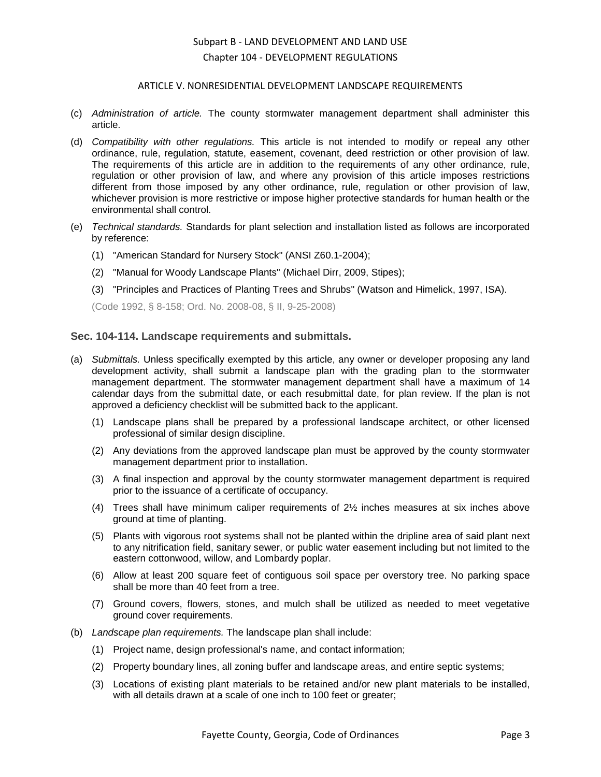#### ARTICLE V. NONRESIDENTIAL DEVELOPMENT LANDSCAPE REQUIREMENTS

- (c) *Administration of article.* The county stormwater management department shall administer this article.
- (d) *Compatibility with other regulations.* This article is not intended to modify or repeal any other ordinance, rule, regulation, statute, easement, covenant, deed restriction or other provision of law. The requirements of this article are in addition to the requirements of any other ordinance, rule, regulation or other provision of law, and where any provision of this article imposes restrictions different from those imposed by any other ordinance, rule, regulation or other provision of law, whichever provision is more restrictive or impose higher protective standards for human health or the environmental shall control.
- (e) *Technical standards.* Standards for plant selection and installation listed as follows are incorporated by reference:
	- (1) "American Standard for Nursery Stock" (ANSI Z60.1-2004);
	- (2) "Manual for Woody Landscape Plants" (Michael Dirr, 2009, Stipes);
	- (3) "Principles and Practices of Planting Trees and Shrubs" (Watson and Himelick, 1997, ISA).

(Code 1992, § 8-158; Ord. No. 2008-08, § II, 9-25-2008)

#### <span id="page-2-0"></span>**Sec. 104-114. Landscape requirements and submittals.**

- (a) *Submittals.* Unless specifically exempted by this article, any owner or developer proposing any land development activity, shall submit a landscape plan with the grading plan to the stormwater management department. The stormwater management department shall have a maximum of 14 calendar days from the submittal date, or each resubmittal date, for plan review. If the plan is not approved a deficiency checklist will be submitted back to the applicant.
	- (1) Landscape plans shall be prepared by a professional landscape architect, or other licensed professional of similar design discipline.
	- (2) Any deviations from the approved landscape plan must be approved by the county stormwater management department prior to installation.
	- (3) A final inspection and approval by the county stormwater management department is required prior to the issuance of a certificate of occupancy.
	- (4) Trees shall have minimum caliper requirements of 2½ inches measures at six inches above ground at time of planting.
	- (5) Plants with vigorous root systems shall not be planted within the dripline area of said plant next to any nitrification field, sanitary sewer, or public water easement including but not limited to the eastern cottonwood, willow, and Lombardy poplar.
	- (6) Allow at least 200 square feet of contiguous soil space per overstory tree. No parking space shall be more than 40 feet from a tree.
	- (7) Ground covers, flowers, stones, and mulch shall be utilized as needed to meet vegetative ground cover requirements.
- (b) *Landscape plan requirements.* The landscape plan shall include:
	- (1) Project name, design professional's name, and contact information;
	- (2) Property boundary lines, all zoning buffer and landscape areas, and entire septic systems;
	- (3) Locations of existing plant materials to be retained and/or new plant materials to be installed, with all details drawn at a scale of one inch to 100 feet or greater;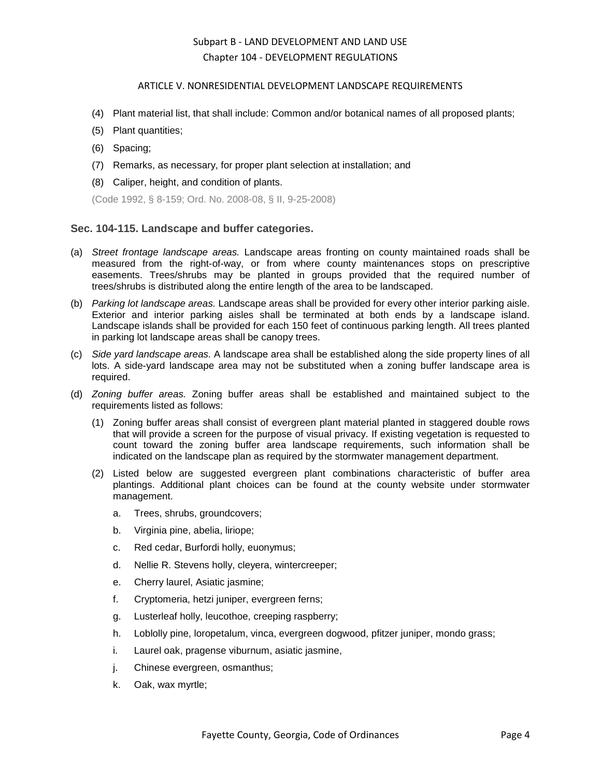#### ARTICLE V. NONRESIDENTIAL DEVELOPMENT LANDSCAPE REQUIREMENTS

- (4) Plant material list, that shall include: Common and/or botanical names of all proposed plants;
- (5) Plant quantities;
- (6) Spacing;
- (7) Remarks, as necessary, for proper plant selection at installation; and
- (8) Caliper, height, and condition of plants.

(Code 1992, § 8-159; Ord. No. 2008-08, § II, 9-25-2008)

### <span id="page-3-0"></span>**Sec. 104-115. Landscape and buffer categories.**

- (a) *Street frontage landscape areas.* Landscape areas fronting on county maintained roads shall be measured from the right-of-way, or from where county maintenances stops on prescriptive easements. Trees/shrubs may be planted in groups provided that the required number of trees/shrubs is distributed along the entire length of the area to be landscaped.
- (b) *Parking lot landscape areas.* Landscape areas shall be provided for every other interior parking aisle. Exterior and interior parking aisles shall be terminated at both ends by a landscape island. Landscape islands shall be provided for each 150 feet of continuous parking length. All trees planted in parking lot landscape areas shall be canopy trees.
- (c) *Side yard landscape areas.* A landscape area shall be established along the side property lines of all lots. A side-yard landscape area may not be substituted when a zoning buffer landscape area is required.
- (d) *Zoning buffer areas.* Zoning buffer areas shall be established and maintained subject to the requirements listed as follows:
	- (1) Zoning buffer areas shall consist of evergreen plant material planted in staggered double rows that will provide a screen for the purpose of visual privacy. If existing vegetation is requested to count toward the zoning buffer area landscape requirements, such information shall be indicated on the landscape plan as required by the stormwater management department.
	- (2) Listed below are suggested evergreen plant combinations characteristic of buffer area plantings. Additional plant choices can be found at the county website under stormwater management.
		- a. Trees, shrubs, groundcovers;
		- b. Virginia pine, abelia, liriope;
		- c. Red cedar, Burfordi holly, euonymus;
		- d. Nellie R. Stevens holly, cleyera, wintercreeper;
		- e. Cherry laurel, Asiatic jasmine;
		- f. Cryptomeria, hetzi juniper, evergreen ferns;
		- g. Lusterleaf holly, leucothoe, creeping raspberry;
		- h. Loblolly pine, loropetalum, vinca, evergreen dogwood, pfitzer juniper, mondo grass;
		- i. Laurel oak, pragense viburnum, asiatic jasmine,
		- j. Chinese evergreen, osmanthus;
		- k. Oak, wax myrtle;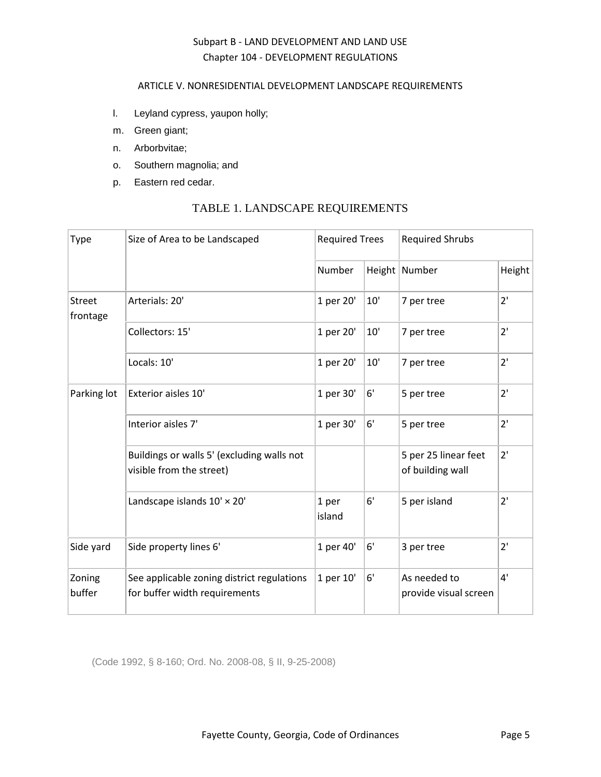### ARTICLE V. NONRESIDENTIAL DEVELOPMENT LANDSCAPE REQUIREMENTS

- l. Leyland cypress, yaupon holly;
- m. Green giant;
- n. Arborbvitae;
- o. Southern magnolia; and
- p. Eastern red cedar.

# TABLE 1. LANDSCAPE REQUIREMENTS

| Type                      | Size of Area to be Landscaped                                               | <b>Required Trees</b> |       | <b>Required Shrubs</b>                   |        |
|---------------------------|-----------------------------------------------------------------------------|-----------------------|-------|------------------------------------------|--------|
|                           |                                                                             | Number                |       | Height Number                            | Height |
| <b>Street</b><br>frontage | Arterials: 20'                                                              | 1 per 20'             | 10'   | 7 per tree                               | 2'     |
|                           | Collectors: 15'                                                             | 1 per 20'             | $10'$ | 7 per tree                               | 2'     |
|                           | Locals: 10'                                                                 | 1 per 20'             | $10'$ | 7 per tree                               | 2'     |
| Parking lot               | Exterior aisles 10'                                                         | 1 per 30'             | 6'    | 5 per tree                               | 2'     |
|                           | Interior aisles 7'                                                          | 1 per 30'             | 6'    | 5 per tree                               | 2'     |
|                           | Buildings or walls 5' (excluding walls not<br>visible from the street)      |                       |       | 5 per 25 linear feet<br>of building wall | 2'     |
|                           | Landscape islands 10' × 20'                                                 | 1 per<br>island       | 6'    | 5 per island                             | 2'     |
| Side yard                 | Side property lines 6'                                                      | 1 per 40'             | 6'    | 3 per tree                               | 2'     |
| Zoning<br>buffer          | See applicable zoning district regulations<br>for buffer width requirements | 1 per 10'             | 6'    | As needed to<br>provide visual screen    | 4'     |

(Code 1992, § 8-160; Ord. No. 2008-08, § II, 9-25-2008)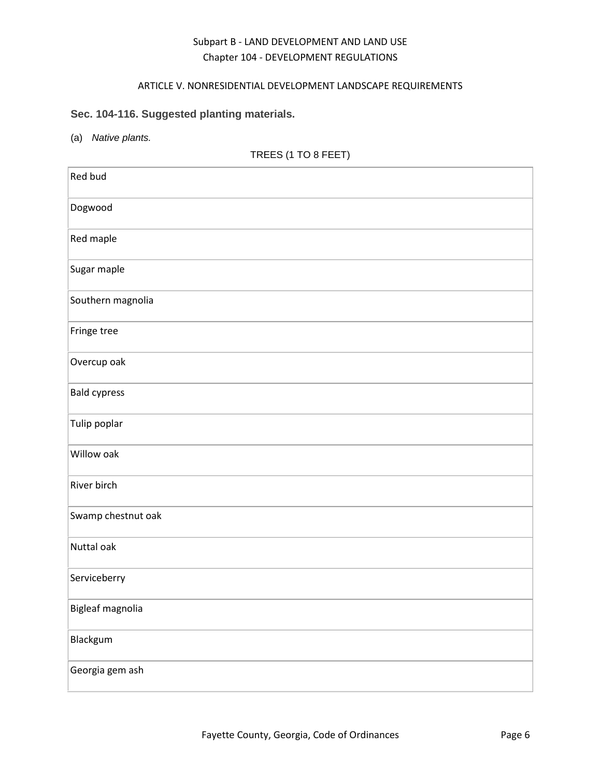### ARTICLE V. NONRESIDENTIAL DEVELOPMENT LANDSCAPE REQUIREMENTS

# <span id="page-5-0"></span>**Sec. 104-116. Suggested planting materials.**

(a) *Native plants.*

# TREES (1 TO 8 FEET)

| Red bud             |
|---------------------|
| Dogwood             |
| Red maple           |
| Sugar maple         |
| Southern magnolia   |
| Fringe tree         |
| Overcup oak         |
| <b>Bald cypress</b> |
| Tulip poplar        |
| Willow oak          |
| River birch         |
| Swamp chestnut oak  |
| Nuttal oak          |
| Serviceberry        |
| Bigleaf magnolia    |
| Blackgum            |
| Georgia gem ash     |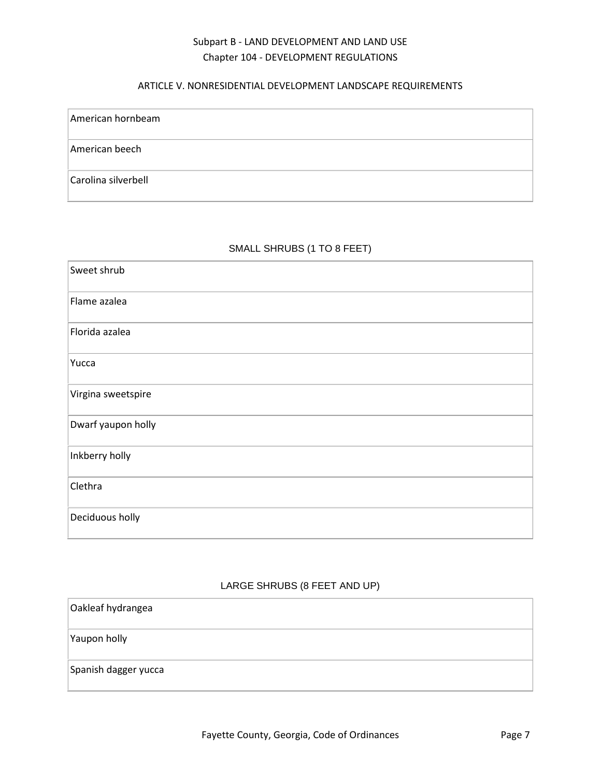### ARTICLE V. NONRESIDENTIAL DEVELOPMENT LANDSCAPE REQUIREMENTS

| American hornbeam   |
|---------------------|
| American beech      |
| Carolina silverbell |

### SMALL SHRUBS (1 TO 8 FEET)

| Sweet shrub        |
|--------------------|
| Flame azalea       |
| Florida azalea     |
| Yucca              |
| Virgina sweetspire |
| Dwarf yaupon holly |
| Inkberry holly     |
| Clethra            |
| Deciduous holly    |

### LARGE SHRUBS (8 FEET AND UP)

| Oakleaf hydrangea    |  |
|----------------------|--|
| Yaupon holly         |  |
| Spanish dagger yucca |  |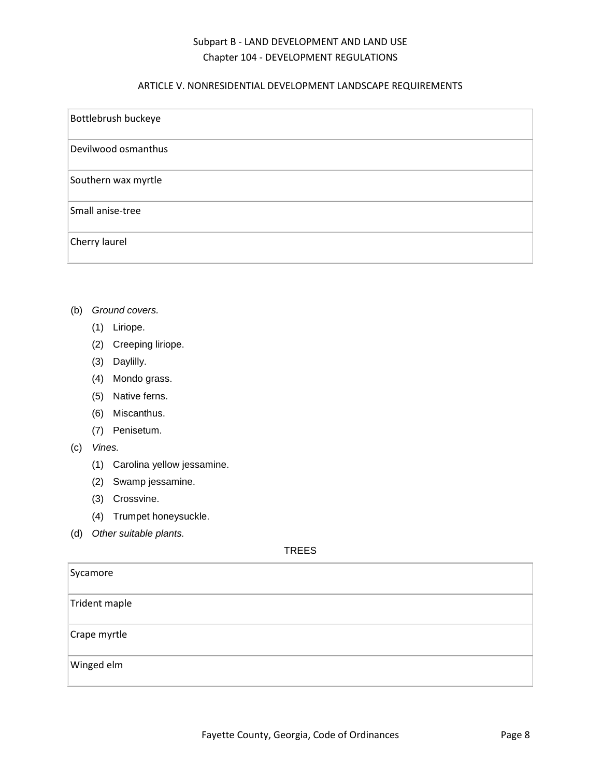### ARTICLE V. NONRESIDENTIAL DEVELOPMENT LANDSCAPE REQUIREMENTS

| Bottlebrush buckeye |
|---------------------|
| Devilwood osmanthus |
| Southern wax myrtle |
| Small anise-tree    |
| Cherry laurel       |

- (b) *Ground covers.*
	- (1) Liriope.
	- (2) Creeping liriope.
	- (3) Daylilly.
	- (4) Mondo grass.
	- (5) Native ferns.
	- (6) Miscanthus.
	- (7) Penisetum.
- (c) *Vines.*
	- (1) Carolina yellow jessamine.
	- (2) Swamp jessamine.
	- (3) Crossvine.
	- (4) Trumpet honeysuckle.
- (d) *Other suitable plants.*

## TREES

| Sycamore      |  |
|---------------|--|
| Trident maple |  |
| Crape myrtle  |  |
| Winged elm    |  |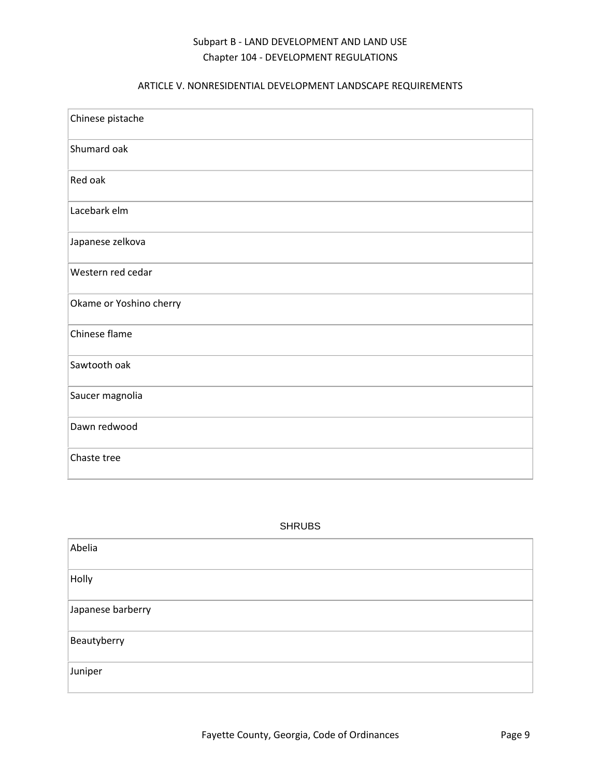# ARTICLE V. NONRESIDENTIAL DEVELOPMENT LANDSCAPE REQUIREMENTS

| Chinese pistache        |
|-------------------------|
| Shumard oak             |
| Red oak                 |
| Lacebark elm            |
| Japanese zelkova        |
| Western red cedar       |
| Okame or Yoshino cherry |
| Chinese flame           |
| Sawtooth oak            |
| Saucer magnolia         |
| Dawn redwood            |
| Chaste tree             |

| SHRUBS |
|--------|
|--------|

| Abelia            |  |
|-------------------|--|
| Holly             |  |
| Japanese barberry |  |
| Beautyberry       |  |
| Juniper           |  |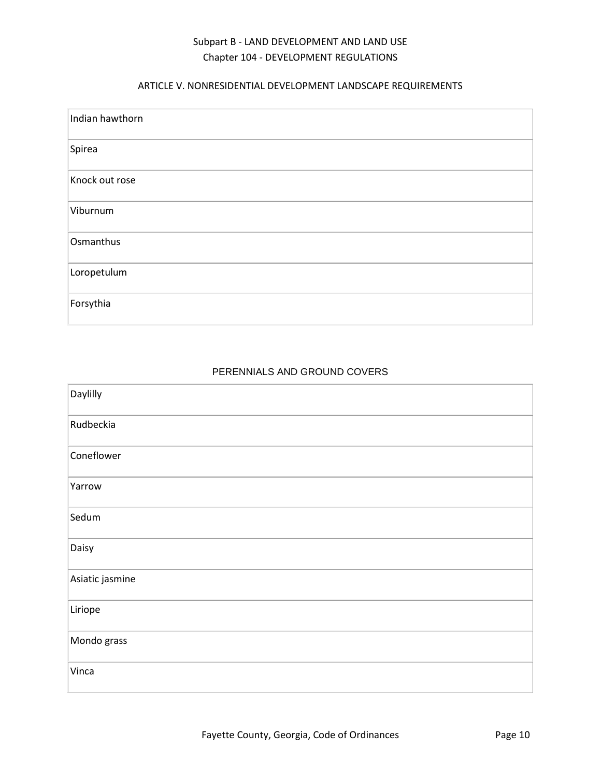### ARTICLE V. NONRESIDENTIAL DEVELOPMENT LANDSCAPE REQUIREMENTS

| Indian hawthorn |
|-----------------|
| Spirea          |
| Knock out rose  |
| Viburnum        |
| Osmanthus       |
| Loropetulum     |
| Forsythia       |

### PERENNIALS AND GROUND COVERS

| Daylilly        |
|-----------------|
| Rudbeckia       |
| Coneflower      |
| Yarrow          |
| Sedum           |
| Daisy           |
| Asiatic jasmine |
| Liriope         |
| Mondo grass     |
| Vinca           |